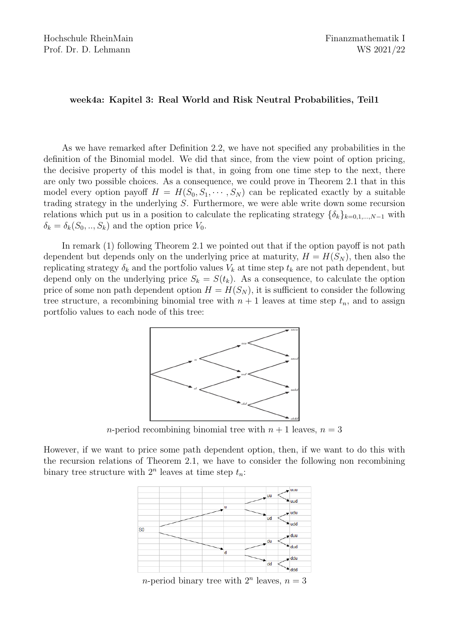## week4a: Kapitel 3: Real World and Risk Neutral Probabilities, Teil1

As we have remarked after Definition 2.2, we have not specified any probabilities in the definition of the Binomial model. We did that since, from the view point of option pricing, the decisive property of this model is that, in going from one time step to the next, there are only two possible choices. As a consequence, we could prove in Theorem 2.1 that in this model every option payoff  $H = H(S_0, S_1, \dots, S_N)$  can be replicated exactly by a suitable trading strategy in the underlying S. Furthermore, we were able write down some recursion relations which put us in a position to calculate the replicating strategy  $\{\delta_k\}_{k=0,1,\dots,N-1}$  with  $\delta_k = \delta_k(S_0, \ldots, S_k)$  and the option price  $V_0$ .

In remark (1) following Theorem 2.1 we pointed out that if the option payoff is not path dependent but depends only on the underlying price at maturity,  $H = H(S_N)$ , then also the replicating strategy  $\delta_k$  and the portfolio values  $V_k$  at time step  $t_k$  are not path dependent, but depend only on the underlying price  $S_k = S(t_k)$ . As a consequence, to calculate the option price of some non path dependent option  $H = H(S_N)$ , it is sufficient to consider the following tree structure, a recombining binomial tree with  $n + 1$  leaves at time step  $t_n$ , and to assign portfolio values to each node of this tree:



*n*-period recombining binomial tree with  $n + 1$  leaves,  $n = 3$ 

However, if we want to price some path dependent option, then, if we want to do this with the recursion relations of Theorem 2.1, we have to consider the following non recombining binary tree structure with  $2^n$  leaves at time step  $t_n$ :



*n*-period binary tree with  $2^n$  leaves,  $n = 3$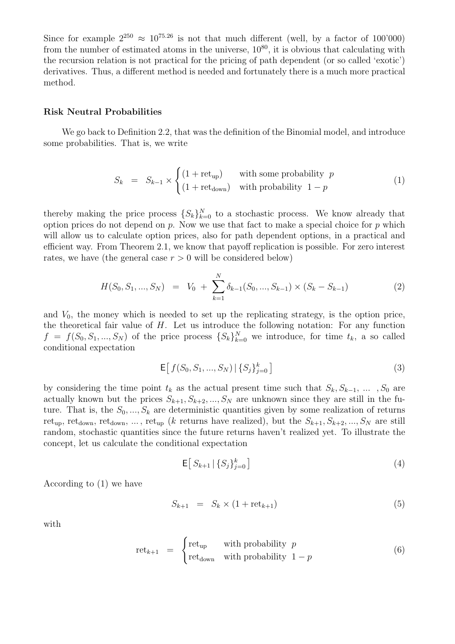Since for example  $2^{250} \approx 10^{75.26}$  is not that much different (well, by a factor of 100'000) from the number of estimated atoms in the universe,  $10^{80}$ , it is obvious that calculating with the recursion relation is not practical for the pricing of path dependent (or so called 'exotic') derivatives. Thus, a different method is needed and fortunately there is a much more practical method.

## Risk Neutral Probabilities

We go back to Definition 2.2, that was the definition of the Binomial model, and introduce some probabilities. That is, we write

$$
S_k = S_{k-1} \times \begin{cases} (1 + \text{ret}_{\text{up}}) & \text{with some probability } p \\ (1 + \text{ret}_{\text{down}}) & \text{with probability } 1 - p \end{cases}
$$
 (1)

thereby making the price process  $\{S_k\}_{k=0}^N$  to a stochastic process. We know already that option prices do not depend on p. Now we use that fact to make a special choice for p which will allow us to calculate option prices, also for path dependent options, in a practical and efficient way. From Theorem 2.1, we know that payoff replication is possible. For zero interest rates, we have (the general case  $r > 0$  will be considered below)

$$
H(S_0, S_1, ..., S_N) = V_0 + \sum_{k=1}^{N} \delta_{k-1}(S_0, ..., S_{k-1}) \times (S_k - S_{k-1})
$$
\n(2)

and  $V_0$ , the money which is needed to set up the replicating strategy, is the option price, the theoretical fair value of  $H$ . Let us introduce the following notation: For any function  $f = f(S_0, S_1, ..., S_N)$  of the price process  $\{S_k\}_{k=0}^N$  we introduce, for time  $t_k$ , a so called conditional expectation

$$
\mathsf{E}\big[\,f(S_0, S_1, \ldots, S_N) \,|\, \{S_j\}_{j=0}^k\,\big] \tag{3}
$$

by considering the time point  $t_k$  as the actual present time such that  $S_k, S_{k-1}, \ldots, S_0$  are actually known but the prices  $S_{k+1}, S_{k+2},..., S_N$  are unknown since they are still in the future. That is, the  $S_0, ..., S_k$  are deterministic quantities given by some realization of returns ret<sub>up</sub>, ret<sub>down</sub>, ret<sub>down</sub>, ..., ret<sub>up</sub> (k returns have realized), but the  $S_{k+1}, S_{k+2}, ..., S_N$  are still random, stochastic quantities since the future returns haven't realized yet. To illustrate the concept, let us calculate the conditional expectation

$$
\mathsf{E}\big[\,S_{k+1}\,\big|\,\{S_j\}_{j=0}^k\,\big]\tag{4}
$$

According to (1) we have

$$
S_{k+1} = S_k \times (1 + \text{ret}_{k+1}) \tag{5}
$$

with

$$
retk+1 = \begin{cases} retup & with probability p \\ retdown & with probability 1 - p \end{cases}
$$
 (6)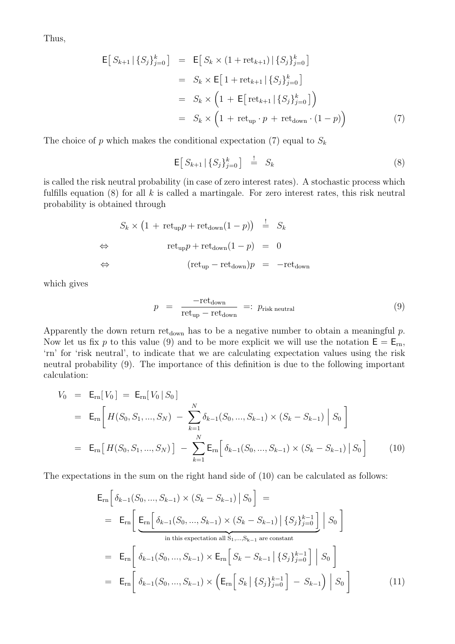Thus,

$$
\mathsf{E}\left[S_{k+1} | \{S_j\}_{j=0}^k\right] = \mathsf{E}\left[S_k \times (1 + \text{ret}_{k+1}) | \{S_j\}_{j=0}^k\right]
$$
\n
$$
= S_k \times \mathsf{E}\left[1 + \text{ret}_{k+1} | \{S_j\}_{j=0}^k\right]
$$
\n
$$
= S_k \times \left(1 + \mathsf{E}\left[\text{ret}_{k+1} | \{S_j\}_{j=0}^k\right]\right)
$$
\n
$$
= S_k \times \left(1 + \text{ret}_{\text{up}} \cdot p + \text{ret}_{\text{down}} \cdot (1 - p)\right) \tag{7}
$$

The choice of  $p$  which makes the conditional expectation (7) equal to  $S_k$ 

$$
\mathsf{E}\big[\,S_{k+1}\,\big|\,\{S_j\}_{j=0}^k\,\big]\quad\stackrel{!}{=} \quad S_k\tag{8}
$$

is called the risk neutral probability (in case of zero interest rates). A stochastic process which fulfills equation  $(8)$  for all k is called a martingale. For zero interest rates, this risk neutral probability is obtained through

$$
S_k \times (1 + \text{ret}_{\text{up}}p + \text{ret}_{\text{down}}(1 - p)) \stackrel{!}{=} S_k
$$
  
\n
$$
\Leftrightarrow \text{ret}_{\text{up}}p + \text{ret}_{\text{down}}(1 - p) = 0
$$
  
\n
$$
\Leftrightarrow (\text{ret}_{\text{up}} - \text{ret}_{\text{down}})p = -\text{ret}_{\text{down}}
$$

which gives

$$
p = \frac{-\text{ret}_{\text{down}}}{\text{ret}_{\text{up}} - \text{ret}_{\text{down}}} =: p_{\text{risk neutral}} \tag{9}
$$

Apparently the down return ret<sub>down</sub> has to be a negative number to obtain a meaningful  $p$ . Now let us fix p to this value (9) and to be more explicit we will use the notation  $E = E_{rn}$ , 'rn' for 'risk neutral', to indicate that we are calculating expectation values using the risk neutral probability (9). The importance of this definition is due to the following important calculation:

$$
V_0 = \mathsf{E}_{\rm rn}[V_0] = \mathsf{E}_{\rm rn}[V_0|S_0]
$$
  
\n
$$
= \mathsf{E}_{\rm rn}\Big[H(S_0, S_1, ..., S_N) - \sum_{k=1}^N \delta_{k-1}(S_0, ..., S_{k-1}) \times (S_k - S_{k-1}) |S_0\Big]
$$
  
\n
$$
= \mathsf{E}_{\rm rn}\Big[H(S_0, S_1, ..., S_N)\Big] - \sum_{k=1}^N \mathsf{E}_{\rm rn}\Big[\delta_{k-1}(S_0, ..., S_{k-1}) \times (S_k - S_{k-1}) |S_0\Big]
$$
(10)

The expectations in the sum on the right hand side of (10) can be calculated as follows:

$$
\mathsf{E}_{rn} \Big[ \delta_{k-1}(S_0, ..., S_{k-1}) \times (S_k - S_{k-1}) \, \big| \, S_0 \Big] =
$$
\n
$$
= \mathsf{E}_{rn} \Big[ \underbrace{\mathsf{E}_{rn} \Big[ \delta_{k-1}(S_0, ..., S_{k-1}) \times (S_k - S_{k-1}) \, \big| \, \{S_j\}_{j=0}^{k-1} \Big] \, \big| \, S_0 \Big]}
$$
\nin this expectation all  $S_1, ..., S_{k-1}$  are constant

\n
$$
= \mathsf{E}_{rn} \Big[ \delta_{k-1}(S_0, ..., S_{k-1}) \times \mathsf{E}_{rn} \Big[ S_k - S_{k-1} \, \big| \, \{S_j\}_{j=0}^{k-1} \Big] \, \big| \, S_0 \Big]
$$
\n
$$
= \mathsf{E}_{rn} \Big[ \delta_{k-1}(S_0, ..., S_{k-1}) \times \Big( \mathsf{E}_{rn} \Big[ S_k \, \big| \, \{S_j\}_{j=0}^{k-1} \Big] - S_{k-1} \Big) \, \big| \, S_0 \Big]
$$
\n(11)